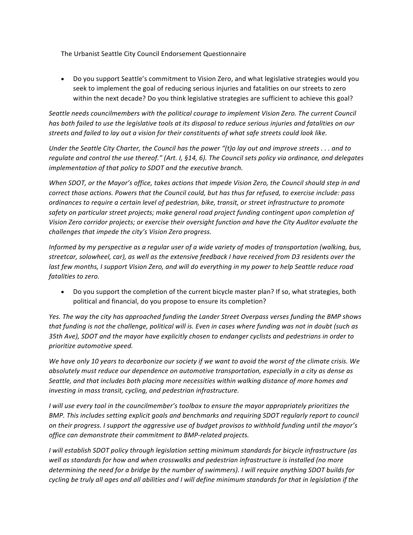The Urbanist Seattle City Council Endorsement Questionnaire

• Do you support Seattle's commitment to Vision Zero, and what legislative strategies would you seek to implement the goal of reducing serious injuries and fatalities on our streets to zero within the next decade? Do you think legislative strategies are sufficient to achieve this goal?

Seattle needs councilmembers with the political courage to implement Vision Zero. The current Council *has* both failed to use the legislative tools at its disposal to reduce serious injuries and fatalities on our streets and failed to lay out a vision for their constituents of what safe streets could look like.

*Under the Seattle City Charter, the Council has the power "(t)o lay out and improve streets ... and to regulate and control the use thereof."* (Art. I, §14, 6). The Council sets policy via ordinance, and delegates *implementation of that policy to SDOT and the executive branch.* 

*When SDOT, or the Mayor's office, takes actions that impede Vision Zero, the Council should step in and correct those actions. Powers that the Council could, but has thus far refused, to exercise include: pass ordinances to require a certain level of pedestrian, bike, transit, or street infrastructure to promote* safety on particular street projects; make general road project funding contingent upon completion of Vision Zero corridor projects; or exercise their oversight function and have the City Auditor evaluate the challenges that impede the city's Vision Zero progress.

*Informed by my perspective as a regular user of a wide variety of modes of transportation (walking, bus,* streetcar, solowheel, car), as well as the extensive feedback I have received from D3 residents over the *last few months, I support Vision Zero, and will do everything in my power to help Seattle reduce road* fatalities to zero.

• Do you support the completion of the current bicycle master plan? If so, what strategies, both political and financial, do you propose to ensure its completion?

*Yes.* The way the city has approached funding the Lander Street Overpass verses funding the BMP shows that funding is not the challenge, political will is. Even in cases where funding was not in doubt (such as *35th Ave), SDOT and the mayor have explicitly chosen to endanger cyclists and pedestrians in order to prioritize automotive speed.*

We have only 10 years to decarbonize our society if we want to avoid the worst of the climate crisis. We absolutely must reduce our dependence on automotive transportation, especially in a city as dense as Seattle, and that includes both placing more necessities within walking distance of more homes and investing in mass transit, cycling, and pedestrian infrastructure.

*I* will use every tool in the councilmember's toolbox to ensure the mayor appropriately prioritizes the *BMP.* This includes setting explicit goals and benchmarks and requiring SDOT regularly report to council *on* their progress. I support the aggressive use of budget provisos to withhold funding until the mayor's *office can demonstrate their commitment to BMP-related projects.*

*I* will establish SDOT policy through legislation setting minimum standards for bicycle infrastructure (as well as standards for how and when crosswalks and pedestrian infrastructure is installed (no more *determining the need for a bridge by the number of swimmers). I will require anything SDOT builds for cycling* be truly all ages and all abilities and I will define minimum standards for that in legislation if the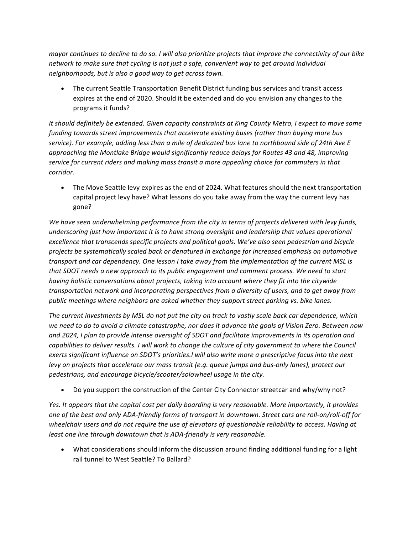*mayor* continues to decline to do so. I will also prioritize projects that improve the connectivity of our bike network to make sure that cycling is not just a safe, convenient way to get around individual *neighborhoods, but is also a good way to get across town.* 

• The current Seattle Transportation Benefit District funding bus services and transit access expires at the end of 2020. Should it be extended and do you envision any changes to the programs it funds?

It should definitely be extended. Given capacity constraints at King County Metro, I expect to move some funding towards street improvements that accelerate existing buses (rather than buying more bus service). For example, adding less than a mile of dedicated bus lane to northbound side of 24th Ave E approaching the Montlake Bridge would significantly reduce delays for Routes 43 and 48, improving service for current riders and making mass transit a more appealing choice for commuters in that *corridor.*

• The Move Seattle levy expires as the end of 2024. What features should the next transportation capital project levy have? What lessons do you take away from the way the current levy has gone?

We have seen underwhelming performance from the city in terms of projects delivered with levy funds, underscoring just how important it is to have strong oversight and leadership that values operational excellence that transcends specific projects and political goals. We've also seen pedestrian and bicycle *projects be systematically scaled back or denatured in exchange for increased emphasis on automotive transport and car dependency. One lesson I take away from the implementation of the current MSL is* that SDOT needs a new approach to its public engagement and comment process. We need to start *having holistic conversations about projects, taking into account where they fit into the citywide* transportation network and incorporating perspectives from a diversity of users, and to get away from public meetings where neighbors are asked whether they support street parking vs. bike lanes.

The current investments by MSL do not put the city on track to vastly scale back car dependence, which we need to do to avoid a climate catastrophe, nor does it advance the goals of Vision Zero. Between now and 2024, I plan to provide intense oversight of SDOT and facilitate improvements in its operation and *capabilities to deliver results. I will work to change the culture of city government to where the Council exerts significant influence on SDOT's priorities.I* will also write more a prescriptive focus into the next *levy* on projects that accelerate our mass transit (e.g. queue jumps and bus-only lanes), protect our pedestrians, and encourage bicycle/scooter/solowheel usage in the city.

Do you support the construction of the Center City Connector streetcar and why/why not?

Yes. It appears that the capital cost per daily boarding is very reasonable. More importantly, it provides one of the best and only ADA-friendly forms of transport in downtown. Street cars are roll-on/roll-off for wheelchair users and do not require the use of elevators of questionable reliability to access. Having at *least one line through downtown that is ADA-friendly is very reasonable.* 

What considerations should inform the discussion around finding additional funding for a light rail tunnel to West Seattle? To Ballard?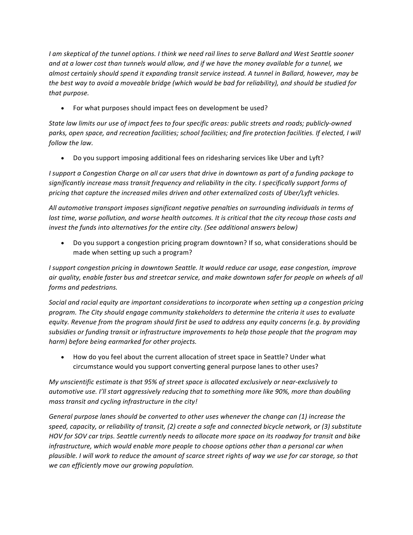*I* am skeptical of the tunnel options. I think we need rail lines to serve Ballard and West Seattle sooner and at a lower cost than tunnels would allow, and if we have the money available for a tunnel, we *almost certainly should spend it expanding transit service instead.* A tunnel in Ballard, however, may be *the best way to avoid a moveable bridge (which would be bad for reliability), and should be studied for* that purpose.

• For what purposes should impact fees on development be used?

State law limits our use of impact fees to four specific areas: public streets and roads; publicly-owned parks, open space, and recreation facilities; school facilities; and fire protection facilities. If elected, I will *follow the law.* 

• Do you support imposing additional fees on ridesharing services like Uber and Lyft?

*I* support a Congestion Charge on all car users that drive in downtown as part of a funding package to significantly increase mass transit frequency and reliability in the city. I specifically support forms of *pricing* that capture the increased miles driven and other externalized costs of Uber/Lyft vehicles.

All automotive transport imposes significant negative penalties on surrounding individuals in terms of *lost time, worse pollution, and worse health outcomes. It is critical that the city recoup those costs and invest the funds into alternatives for the entire city.* (See additional answers below)

• Do you support a congestion pricing program downtown? If so, what considerations should be made when setting up such a program?

*I* support congestion pricing in downtown Seattle. It would reduce car usage, ease congestion, improve air quality, enable faster bus and streetcar service, and make downtown safer for people on wheels of all *forms and pedestrians.*

*Social* and racial equity are important considerations to incorporate when setting up a congestion pricing program. The City should engage community stakeholders to determine the criteria it uses to evaluate *equity.* Revenue from the program should first be used to address any equity concerns (e.g. by providing subsidies or funding transit or infrastructure improvements to help those people that the program may harm) before being earmarked for other projects.

• How do you feel about the current allocation of street space in Seattle? Under what circumstance would you support converting general purpose lanes to other uses?

*My* unscientific estimate is that 95% of street space is allocated exclusively or near-exclusively to *automotive use.* I'll start aggressively reducing that to something more like 90%, more than doubling *mass transit and cycling infrastructure in the city!* 

General purpose lanes should be converted to other uses whenever the change can (1) increase the speed, capacity, or reliability of transit, (2) create a safe and connected bicycle network, or (3) substitute *HOV* for SOV car trips. Seattle currently needs to allocate more space on its roadway for transit and bike *infrastructure, which would enable more people to choose options other than a personal car when plausible. I will work to reduce the amount of scarce street rights of way we use for car storage, so that we can efficiently move our growing population.*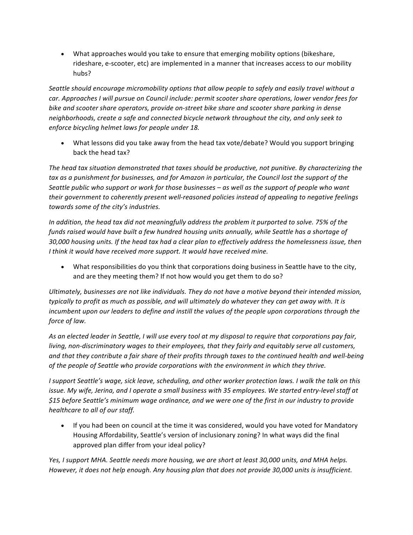• What approaches would you take to ensure that emerging mobility options (bikeshare, rideshare, e-scooter, etc) are implemented in a manner that increases access to our mobility hubs?

Seattle should encourage micromobility options that allow people to safely and easily travel without a *car.* Approaches *I* will pursue on Council include: permit scooter share operations, lower vendor fees for bike and scooter share operators, provide on-street bike share and scooter share parking in dense *neighborhoods, create a safe and connected bicycle network throughout the city, and only seek to enforce bicycling helmet laws for people under 18.*

What lessons did you take away from the head tax vote/debate? Would you support bringing back the head tax?

The head tax situation demonstrated that taxes should be productive, not punitive. By characterizing the tax as a punishment for businesses, and for Amazon in particular, the Council lost the support of the Seattle public who support or work for those businesses – as well as the support of people who want *their government to coherently present well-reasoned policies instead of appealing to negative feelings towards some of the city's industries.*

In addition, the head tax did not meaningfully address the problem it purported to solve. 75% of the funds raised would have built a few hundred housing units annually, while Seattle has a shortage of 30,000 housing units. If the head tax had a clear plan to effectively address the homelessness issue, then *I* think it would have received more support. It would have received mine.

• What responsibilities do you think that corporations doing business in Seattle have to the city, and are they meeting them? If not how would you get them to do so?

Ultimately, businesses are not like individuals. They do not have a motive beyond their intended mission, *typically to profit as much as possible, and will ultimately do whatever they can get away with. It is incumbent upon our leaders to define and instill the values of the people upon corporations through the force of law.*

As an elected leader in Seattle, I will use every tool at my disposal to require that corporations pay fair, *living, non-discriminatory wages to their employees, that they fairly and equitably serve all customers,* and that they contribute a fair share of their profits through taxes to the continued health and well-being *of the people of Seattle who provide corporations with the environment in which they thrive.* 

*I* support Seattle's wage, sick leave, scheduling, and other worker protection laws. I walk the talk on this *issue.* My wife, Jerina, and I operate a small business with 35 employees. We started entry-level staff at \$15 before Seattle's minimum wage ordinance, and we were one of the first in our industry to provide *healthcare to all of our staff.* 

• If you had been on council at the time it was considered, would you have voted for Mandatory Housing Affordability, Seattle's version of inclusionary zoning? In what ways did the final approved plan differ from your ideal policy?

Yes, I support MHA. Seattle needs more housing, we are short at least 30,000 units, and MHA helps. *However, it does not help enough. Any housing plan that does not provide 30,000 units is insufficient.*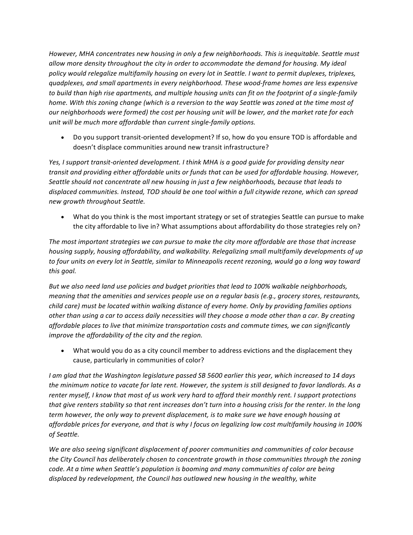*However,* MHA concentrates new housing in only a few neighborhoods. This is inequitable. Seattle must allow more density throughout the city in order to accommodate the demand for housing. My ideal policy would relegalize multifamily housing on every lot in Seattle. I want to permit duplexes, triplexes, *quadplexes, and small apartments in every neighborhood. These wood-frame homes are less expensive to* build than high rise apartments, and multiple housing units can fit on the footprint of a single-family *home.* With this zoning change (which is a reversion to the way Seattle was zoned at the time most of *our* neighborhoods were formed) the cost per housing unit will be lower, and the market rate for each *unit* will be much more affordable than current single-family options.

Do you support transit-oriented development? If so, how do you ensure TOD is affordable and doesn't displace communities around new transit infrastructure?

Yes, I support transit-oriented development. I think MHA is a good guide for providing density near *transit and providing either affordable units or funds that can be used for affordable housing. However,* Seattle should not concentrate all new housing in just a few neighborhoods, because that leads to displaced communities. Instead, TOD should be one tool within a full citywide rezone, which can spread *new growth throughout Seattle.*

• What do you think is the most important strategy or set of strategies Seattle can pursue to make the city affordable to live in? What assumptions about affordability do those strategies rely on?

The most important strategies we can pursue to make the city more affordable are those that increase housing supply, housing affordability, and walkability. Relegalizing small multifamily developments of up *to four units* on every lot in Seattle, similar to Minneapolis recent rezoning, would go a long way toward *this goal.*

*But* we also need land use policies and budget priorities that lead to 100% walkable neighborhoods, *meaning that the amenities and services people use on a regular basis (e.g., grocery stores, restaurants, child care)* must be located within walking distance of every home. Only by providing families options other than using a car to access daily necessities will they choose a mode other than a car. By creating *affordable places to live that minimize transportation costs and commute times, we can significantly improve the affordability of the city and the region.* 

• What would you do as a city council member to address evictions and the displacement they cause, particularly in communities of color?

*I* am glad that the Washington legislature passed SB 5600 earlier this year, which increased to 14 days *the minimum notice to vacate for late rent. However, the system is still designed to favor landlords. As a renter myself, I know that most of us work very hard to afford their monthly rent. I support protections that give renters stability so that rent increases don't turn into a housing crisis for the renter. In the long term* however, the only way to prevent displacement, is to make sure we have enough housing at affordable prices for everyone, and that is why I focus on legalizing low cost multifamily housing in 100% *of Seattle.*

We are also seeing significant displacement of poorer communities and communities of color because *the City Council has deliberately chosen to concentrate growth in those communities through the zoning code.* At a time when Seattle's population is booming and many communities of color are being displaced by redevelopment, the Council has outlawed new housing in the wealthy, white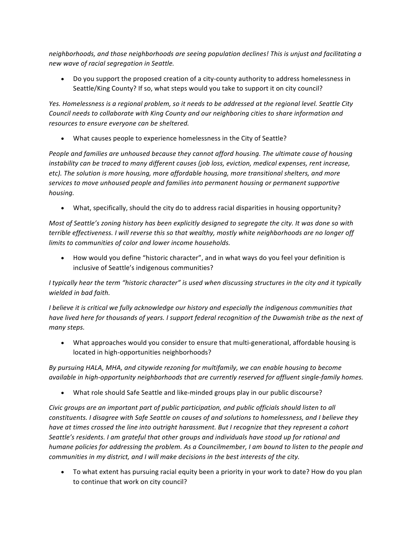neighborhoods, and those neighborhoods are seeing population declines! This is unjust and facilitating a *new wave of racial segregation in Seattle.* 

• Do you support the proposed creation of a city-county authority to address homelessness in Seattle/King County? If so, what steps would you take to support it on city council?

Yes. Homelessness is a regional problem, so it needs to be addressed at the regional level. Seattle City *Council needs to collaborate with King County and our neighboring cities to share information and* resources to ensure everyone can be sheltered.

• What causes people to experience homelessness in the City of Seattle?

*People and families are unhoused because they cannot afford housing. The ultimate cause of housing instability* can be traced to many different causes (job loss, eviction, medical expenses, rent increase, *etc).* The solution is more housing, more affordable housing, more transitional shelters, and more services to move unhoused people and families into permanent housing or permanent supportive *housing.*

• What, specifically, should the city do to address racial disparities in housing opportunity?

*Most of Seattle's zoning history has been explicitly designed to segregate the city. It was done so with terrible effectiveness. I will reverse this so that wealthy, mostly white neighborhoods are no longer off limits to communities of color and lower income households.* 

• How would you define "historic character", and in what ways do you feel your definition is inclusive of Seattle's indigenous communities?

*I* typically hear the term "historic character" is used when discussing structures in the city and it typically *wielded in bad faith.*

*I* believe it is critical we fully acknowledge our history and especially the indigenous communities that *have lived here for thousands of years.* I support federal recognition of the Duwamish tribe as the next of *many steps.* 

• What approaches would you consider to ensure that multi-generational, affordable housing is located in high-opportunities neighborhoods?

By pursuing HALA, MHA, and citywide rezoning for multifamily, we can enable housing to become *available in high-opportunity neighborhoods that are currently reserved for affluent single-family homes.* 

• What role should Safe Seattle and like-minded groups play in our public discourse?

Civic groups are an important part of public participation, and public officials should listen to all *constituents.* I disagree with Safe Seattle on causes of and solutions to homelessness, and I believe they *have at times crossed the line into outright harassment. But I recognize that they represent a cohort Seattle's residents.* I am grateful that other groups and individuals have stood up for rational and *humane policies for addressing the problem. As a Councilmember, I am bound to listen to the people and communities in my district, and I will make decisions in the best interests of the city.* 

• To what extent has pursuing racial equity been a priority in your work to date? How do you plan to continue that work on city council?